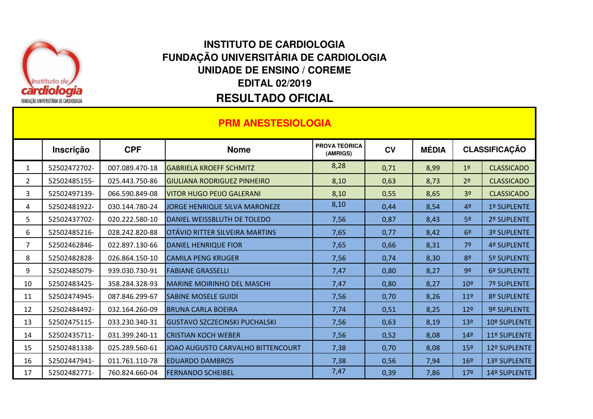

## **RESULTADO OFICIAL EDITAL 02/2019UNIDADE DE ENSINO / COREMEINSTITUTO DE CARDIOLOGIAFUNDAÇÃO UNIVERSITÁRIA DE CARDIOLOGIA**

| <b>PRM ANESTESIOLOGIA</b> |              |                |                                      |                                  |           |              |                      |                    |
|---------------------------|--------------|----------------|--------------------------------------|----------------------------------|-----------|--------------|----------------------|--------------------|
|                           | Inscrição    | <b>CPF</b>     | <b>Nome</b>                          | <b>PROVA TEÓRICA</b><br>(AMRIGS) | <b>CV</b> | <b>MÉDIA</b> | <b>CLASSIFICAÇÃO</b> |                    |
| $\mathbf{1}$              | 52502472702- | 007.089.470-18 | <b>GABRIELA KROEFF SCHMITZ</b>       | 8,28                             | 0,71      | 8,99         | 1 <sup>°</sup>       | <b>CLASSICADO</b>  |
| $\overline{2}$            | 52502485155- | 025.443.750-86 | <b>GIULIANA RODRIGUEZ PINHEIRO</b>   | 8,10                             | 0,63      | 8,73         | 2 <sup>o</sup>       | <b>CLASSICADO</b>  |
| 3                         | 52502497139- | 066.590.849-08 | <b>VITOR HUGO PEIJO GALERANI</b>     | 8,10                             | 0,55      | 8,65         | 3 <sup>o</sup>       | <b>CLASSICADO</b>  |
| 4                         | 52502481922- | 030.144.780-24 | JORGE HENRIQUE SILVA MARONEZE        | 8,10                             | 0,44      | 8,54         | 4 <sup>°</sup>       | 1º SUPLENTE        |
| 5                         | 52502437702- | 020.222.580-10 | DANIEL WEISSBLUTH DE TOLEDO          | 7,56                             | 0,87      | 8,43         | 5 <sup>o</sup>       | 2º SUPLENTE        |
| 6                         | 52502485216- | 028.242.820-88 | OTÁVIO RITTER SILVEIRA MARTINS       | 7,65                             | 0,77      | 8,42         | 6 <sup>9</sup>       | 3º SUPLENTE        |
| $\overline{7}$            | 52502462846- | 022.897.130-66 | <b>DANIEL HENRIQUE FIOR</b>          | 7,65                             | 0,66      | 8,31         | 7 <sup>o</sup>       | 4º SUPLENTE        |
| 8                         | 52502482828- | 026.864.150-10 | <b>CAMILA PENG KRUGER</b>            | 7,56                             | 0,74      | 8,30         | 8 <sup>o</sup>       | 5º SUPLENTE        |
| 9                         | 52502485079- | 939.030.730-91 | <b>FABIANE GRASSELLI</b>             | 7,47                             | 0,80      | 8,27         | 9 <sup>o</sup>       | 6º SUPLENTE        |
| 10                        | 52502483425- | 358.284.328-93 | <b>MARINE MOIRINHO DEL MASCHI</b>    | 7,47                             | 0,80      | 8,27         | 10 <sup>9</sup>      | <b>7º SUPLENTE</b> |
| 11                        | 52502474945- | 087.846.299-67 | <b>SABINE MOSELE GUIDI</b>           | 7,56                             | 0,70      | 8,26         | 11 <sup>°</sup>      | 8º SUPLENTE        |
| 12                        | 52502484492- | 032.164.260-09 | <b>BRUNA CARLA BOEIRA</b>            | 7,74                             | 0,51      | 8,25         | 12 <sup>°</sup>      | 9º SUPLENTE        |
| 13                        | 52502475115- | 033.230.340-31 | <b>GUSTAVO SZCZECINSKI PUCHALSKI</b> | 7,56                             | 0,63      | 8,19         | 13º                  | 10º SUPLENTE       |
| 14                        | 52502435711- | 031.399.240-11 | <b>CRISTIAN KOCH WEBER</b>           | 7,56                             | 0,52      | 8,08         | 14 <sup>°</sup>      | 11º SUPLENTE       |
| 15                        | 52502481338- | 025.289.560-61 | JOAO AUGUSTO CARVALHO BITTENCOURT    | 7,38                             | 0,70      | 8,08         | 15 <sup>°</sup>      | 12º SUPLENTE       |
| 16                        | 52502447941- | 011.761.110-78 | <b>EDUARDO DAMBROS</b>               | 7,38                             | 0,56      | 7,94         | 16 <sup>9</sup>      | 13º SUPLENTE       |
| 17                        | 52502482771- | 760.824.660-04 | <b>FERNANDO SCHEIBEL</b>             | 7,47                             | 0,39      | 7,86         | 17 <sup>°</sup>      | 14º SUPLENTE       |